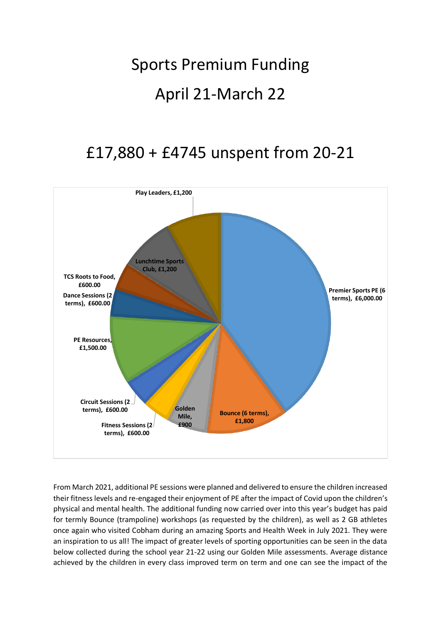## Sports Premium Funding April 21-March 22

## £17,880 + £4745 unspent from 20-21



From March 2021, additional PE sessions were planned and delivered to ensure the children increased their fitness levels and re-engaged their enjoyment of PE after the impact of Covid upon the children's physical and mental health. The additional funding now carried over into this year's budget has paid for termly Bounce (trampoline) workshops (as requested by the children), as well as 2 GB athletes once again who visited Cobham during an amazing Sports and Health Week in July 2021. They were an inspiration to us all! The impact of greater levels of sporting opportunities can be seen in the data below collected during the school year 21-22 using our Golden Mile assessments. Average distance achieved by the children in every class improved term on term and one can see the impact of the